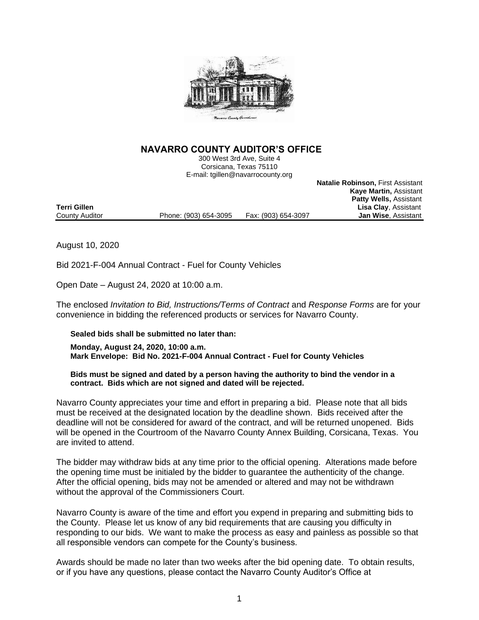

## **NAVARRO COUNTY AUDITOR'S OFFICE**

300 West 3rd Ave, Suite 4 Corsicana, Texas 75110 E-mail: tgillen@navarrocounty.org

**Natalie Robinson,** First Assistant **Kaye Martin,** Assistant **Patty Wells,** Assistant **Lisa Clay, Assistant Jan Wise, Assistant** 

August 10, 2020

Bid 2021-F-004 Annual Contract - Fuel for County Vehicles

County Auditor **Phone: (903) 654-3095** Fax: (903) 654-3097

Open Date – August 24, 2020 at 10:00 a.m.

The enclosed *Invitation to Bid, Instructions/Terms of Contract* and *Response Forms* are for your convenience in bidding the referenced products or services for Navarro County.

## **Sealed bids shall be submitted no later than:**

**Monday, August 24, 2020, 10:00 a.m. Mark Envelope: Bid No. 2021-F-004 Annual Contract - Fuel for County Vehicles**

## **Bids must be signed and dated by a person having the authority to bind the vendor in a contract. Bids which are not signed and dated will be rejected.**

Navarro County appreciates your time and effort in preparing a bid. Please note that all bids must be received at the designated location by the deadline shown. Bids received after the deadline will not be considered for award of the contract, and will be returned unopened. Bids will be opened in the Courtroom of the Navarro County Annex Building, Corsicana, Texas. You are invited to attend.

The bidder may withdraw bids at any time prior to the official opening. Alterations made before the opening time must be initialed by the bidder to guarantee the authenticity of the change. After the official opening, bids may not be amended or altered and may not be withdrawn without the approval of the Commissioners Court.

Navarro County is aware of the time and effort you expend in preparing and submitting bids to the County. Please let us know of any bid requirements that are causing you difficulty in responding to our bids. We want to make the process as easy and painless as possible so that all responsible vendors can compete for the County's business.

Awards should be made no later than two weeks after the bid opening date. To obtain results, or if you have any questions, please contact the Navarro County Auditor's Office at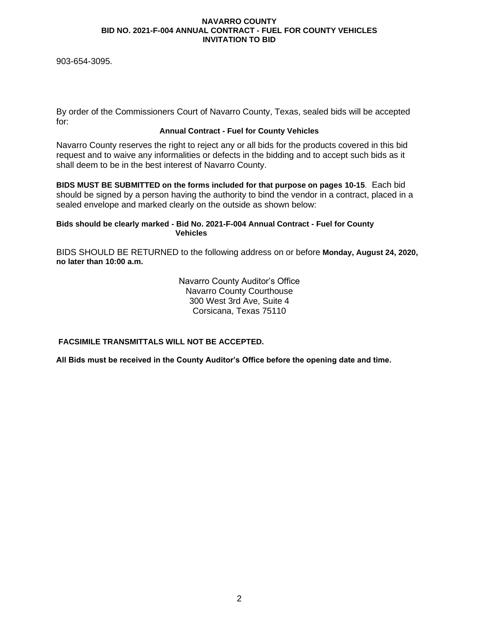903-654-3095.

By order of the Commissioners Court of Navarro County, Texas, sealed bids will be accepted for:

## **Annual Contract - Fuel for County Vehicles**

Navarro County reserves the right to reject any or all bids for the products covered in this bid request and to waive any informalities or defects in the bidding and to accept such bids as it shall deem to be in the best interest of Navarro County.

**BIDS MUST BE SUBMITTED on the forms included for that purpose on pages 10-15**. Each bid should be signed by a person having the authority to bind the vendor in a contract, placed in a sealed envelope and marked clearly on the outside as shown below:

## **Bids should be clearly marked - Bid No. 2021-F-004 Annual Contract - Fuel for County Vehicles**

BIDS SHOULD BE RETURNED to the following address on or before **Monday, August 24, 2020, no later than 10:00 a.m.**

> Navarro County Auditor's Office Navarro County Courthouse 300 West 3rd Ave, Suite 4 Corsicana, Texas 75110

## **FACSIMILE TRANSMITTALS WILL NOT BE ACCEPTED.**

**All Bids must be received in the County Auditor's Office before the opening date and time.**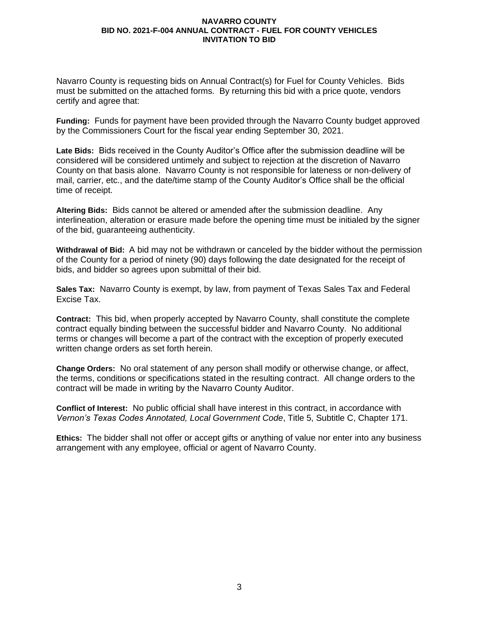Navarro County is requesting bids on Annual Contract(s) for Fuel for County Vehicles. Bids must be submitted on the attached forms. By returning this bid with a price quote, vendors certify and agree that:

**Funding:** Funds for payment have been provided through the Navarro County budget approved by the Commissioners Court for the fiscal year ending September 30, 2021.

**Late Bids:** Bids received in the County Auditor's Office after the submission deadline will be considered will be considered untimely and subject to rejection at the discretion of Navarro County on that basis alone. Navarro County is not responsible for lateness or non-delivery of mail, carrier, etc., and the date/time stamp of the County Auditor's Office shall be the official time of receipt.

**Altering Bids:** Bids cannot be altered or amended after the submission deadline. Any interlineation, alteration or erasure made before the opening time must be initialed by the signer of the bid, guaranteeing authenticity.

**Withdrawal of Bid:** A bid may not be withdrawn or canceled by the bidder without the permission of the County for a period of ninety (90) days following the date designated for the receipt of bids, and bidder so agrees upon submittal of their bid.

**Sales Tax:** Navarro County is exempt, by law, from payment of Texas Sales Tax and Federal Excise Tax.

**Contract:** This bid, when properly accepted by Navarro County, shall constitute the complete contract equally binding between the successful bidder and Navarro County. No additional terms or changes will become a part of the contract with the exception of properly executed written change orders as set forth herein.

**Change Orders:** No oral statement of any person shall modify or otherwise change, or affect, the terms, conditions or specifications stated in the resulting contract. All change orders to the contract will be made in writing by the Navarro County Auditor.

**Conflict of Interest:** No public official shall have interest in this contract, in accordance with *Vernon's Texas Codes Annotated, Local Government Code*, Title 5, Subtitle C, Chapter 171.

**Ethics:** The bidder shall not offer or accept gifts or anything of value nor enter into any business arrangement with any employee, official or agent of Navarro County.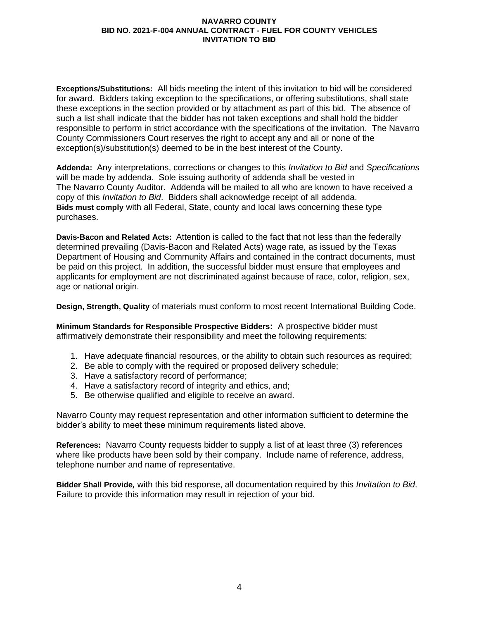**Exceptions/Substitutions:** All bids meeting the intent of this invitation to bid will be considered for award. Bidders taking exception to the specifications, or offering substitutions, shall state these exceptions in the section provided or by attachment as part of this bid. The absence of such a list shall indicate that the bidder has not taken exceptions and shall hold the bidder responsible to perform in strict accordance with the specifications of the invitation. The Navarro County Commissioners Court reserves the right to accept any and all or none of the exception(s)/substitution(s) deemed to be in the best interest of the County.

**Addenda:** Any interpretations, corrections or changes to this *Invitation to Bid* and *Specifications* will be made by addenda. Sole issuing authority of addenda shall be vested in The Navarro County Auditor. Addenda will be mailed to all who are known to have received a copy of this *Invitation to Bid*. Bidders shall acknowledge receipt of all addenda. **Bids must comply** with all Federal, State, county and local laws concerning these type purchases.

**Davis-Bacon and Related Acts:**Attention is called to the fact that not less than the federally determined prevailing (Davis-Bacon and Related Acts) wage rate, as issued by the Texas Department of Housing and Community Affairs and contained in the contract documents, must be paid on this project. In addition, the successful bidder must ensure that employees and applicants for employment are not discriminated against because of race, color, religion, sex, age or national origin.

**Design, Strength, Quality** of materials must conform to most recent International Building Code.

**Minimum Standards for Responsible Prospective Bidders:** A prospective bidder must affirmatively demonstrate their responsibility and meet the following requirements:

- 1. Have adequate financial resources, or the ability to obtain such resources as required;
- 2. Be able to comply with the required or proposed delivery schedule;
- 3. Have a satisfactory record of performance;
- 4. Have a satisfactory record of integrity and ethics, and;
- 5. Be otherwise qualified and eligible to receive an award.

Navarro County may request representation and other information sufficient to determine the bidder's ability to meet these minimum requirements listed above.

**References:** Navarro County requests bidder to supply a list of at least three (3) references where like products have been sold by their company. Include name of reference, address, telephone number and name of representative.

**Bidder Shall Provide***,* with this bid response, all documentation required by this *Invitation to Bid*. Failure to provide this information may result in rejection of your bid.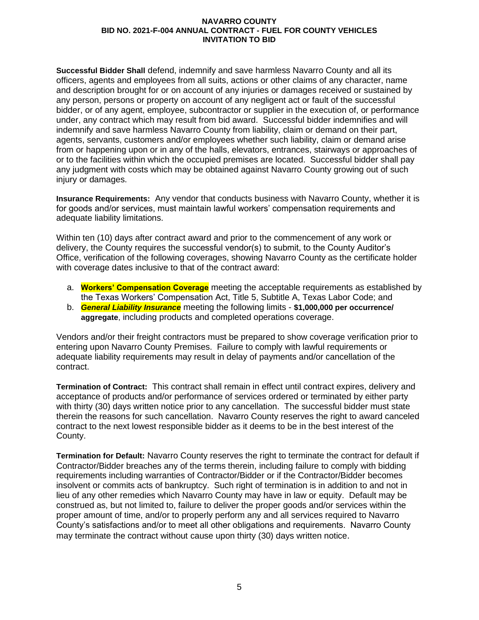**Successful Bidder Shall** defend, indemnify and save harmless Navarro County and all its officers, agents and employees from all suits, actions or other claims of any character, name and description brought for or on account of any injuries or damages received or sustained by any person, persons or property on account of any negligent act or fault of the successful bidder, or of any agent, employee, subcontractor or supplier in the execution of, or performance under, any contract which may result from bid award. Successful bidder indemnifies and will indemnify and save harmless Navarro County from liability, claim or demand on their part, agents, servants, customers and/or employees whether such liability, claim or demand arise from or happening upon or in any of the halls, elevators, entrances, stairways or approaches of or to the facilities within which the occupied premises are located. Successful bidder shall pay any judgment with costs which may be obtained against Navarro County growing out of such injury or damages.

**Insurance Requirements:** Any vendor that conducts business with Navarro County, whether it is for goods and/or services, must maintain lawful workers' compensation requirements and adequate liability limitations.

Within ten (10) days after contract award and prior to the commencement of any work or delivery, the County requires the successful vendor(s) to submit, to the County Auditor's Office, verification of the following coverages, showing Navarro County as the certificate holder with coverage dates inclusive to that of the contract award:

- a. **Workers' Compensation Coverage** meeting the acceptable requirements as established by the Texas Workers' Compensation Act, Title 5, Subtitle A, Texas Labor Code; and
- b. *General Liability Insurance* meeting the following limits **\$1,000,000 per occurrence/ aggregate**, including products and completed operations coverage.

Vendors and/or their freight contractors must be prepared to show coverage verification prior to entering upon Navarro County Premises. Failure to comply with lawful requirements or adequate liability requirements may result in delay of payments and/or cancellation of the contract.

**Termination of Contract:** This contract shall remain in effect until contract expires, delivery and acceptance of products and/or performance of services ordered or terminated by either party with thirty (30) days written notice prior to any cancellation. The successful bidder must state therein the reasons for such cancellation. Navarro County reserves the right to award canceled contract to the next lowest responsible bidder as it deems to be in the best interest of the County.

**Termination for Default:** Navarro County reserves the right to terminate the contract for default if Contractor/Bidder breaches any of the terms therein, including failure to comply with bidding requirements including warranties of Contractor/Bidder or if the Contractor/Bidder becomes insolvent or commits acts of bankruptcy. Such right of termination is in addition to and not in lieu of any other remedies which Navarro County may have in law or equity. Default may be construed as, but not limited to, failure to deliver the proper goods and/or services within the proper amount of time, and/or to properly perform any and all services required to Navarro County's satisfactions and/or to meet all other obligations and requirements. Navarro County may terminate the contract without cause upon thirty (30) days written notice.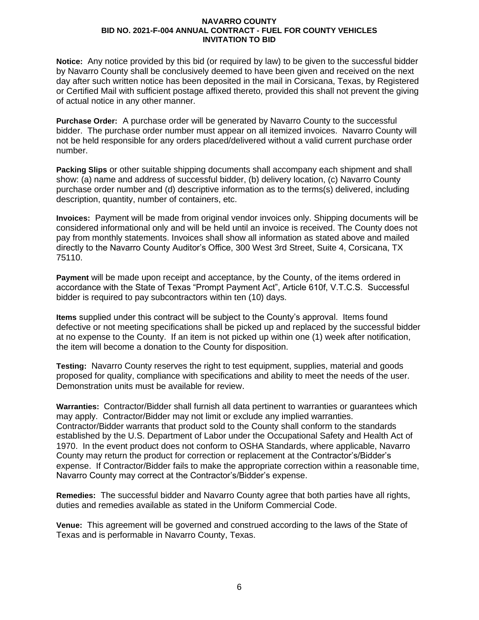**Notice:** Any notice provided by this bid (or required by law) to be given to the successful bidder by Navarro County shall be conclusively deemed to have been given and received on the next day after such written notice has been deposited in the mail in Corsicana, Texas, by Registered or Certified Mail with sufficient postage affixed thereto, provided this shall not prevent the giving of actual notice in any other manner.

**Purchase Order:** A purchase order will be generated by Navarro County to the successful bidder. The purchase order number must appear on all itemized invoices. Navarro County will not be held responsible for any orders placed/delivered without a valid current purchase order number.

**Packing Slips** or other suitable shipping documents shall accompany each shipment and shall show: (a) name and address of successful bidder, (b) delivery location, (c) Navarro County purchase order number and (d) descriptive information as to the terms(s) delivered, including description, quantity, number of containers, etc.

**Invoices:**Payment will be made from original vendor invoices only. Shipping documents will be considered informational only and will be held until an invoice is received. The County does not pay from monthly statements. Invoices shall show all information as stated above and mailed directly to the Navarro County Auditor's Office, 300 West 3rd Street, Suite 4, Corsicana, TX 75110.

**Payment** will be made upon receipt and acceptance, by the County, of the items ordered in accordance with the State of Texas "Prompt Payment Act", Article 610f, V.T.C.S. Successful bidder is required to pay subcontractors within ten (10) days.

**Items** supplied under this contract will be subject to the County's approval. Items found defective or not meeting specifications shall be picked up and replaced by the successful bidder at no expense to the County. If an item is not picked up within one (1) week after notification, the item will become a donation to the County for disposition.

**Testing:** Navarro County reserves the right to test equipment, supplies, material and goods proposed for quality, compliance with specifications and ability to meet the needs of the user. Demonstration units must be available for review.

**Warranties:** Contractor/Bidder shall furnish all data pertinent to warranties or guarantees which may apply. Contractor/Bidder may not limit or exclude any implied warranties. Contractor/Bidder warrants that product sold to the County shall conform to the standards established by the U.S. Department of Labor under the Occupational Safety and Health Act of 1970. In the event product does not conform to OSHA Standards, where applicable, Navarro County may return the product for correction or replacement at the Contractor's/Bidder's expense. If Contractor/Bidder fails to make the appropriate correction within a reasonable time, Navarro County may correct at the Contractor's/Bidder's expense.

**Remedies:** The successful bidder and Navarro County agree that both parties have all rights, duties and remedies available as stated in the Uniform Commercial Code.

**Venue:** This agreement will be governed and construed according to the laws of the State of Texas and is performable in Navarro County, Texas.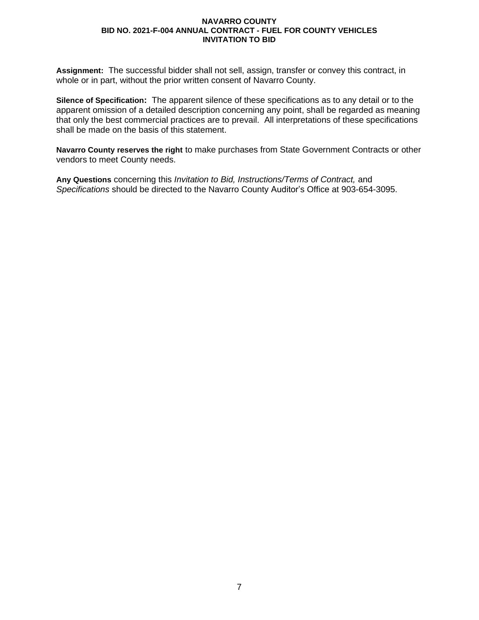**Assignment:** The successful bidder shall not sell, assign, transfer or convey this contract, in whole or in part, without the prior written consent of Navarro County.

**Silence of Specification:** The apparent silence of these specifications as to any detail or to the apparent omission of a detailed description concerning any point, shall be regarded as meaning that only the best commercial practices are to prevail. All interpretations of these specifications shall be made on the basis of this statement.

**Navarro County reserves the right** to make purchases from State Government Contracts or other vendors to meet County needs.

**Any Questions** concerning this *Invitation to Bid, Instructions/Terms of Contract,* and *Specifications* should be directed to the Navarro County Auditor's Office at 903-654-3095.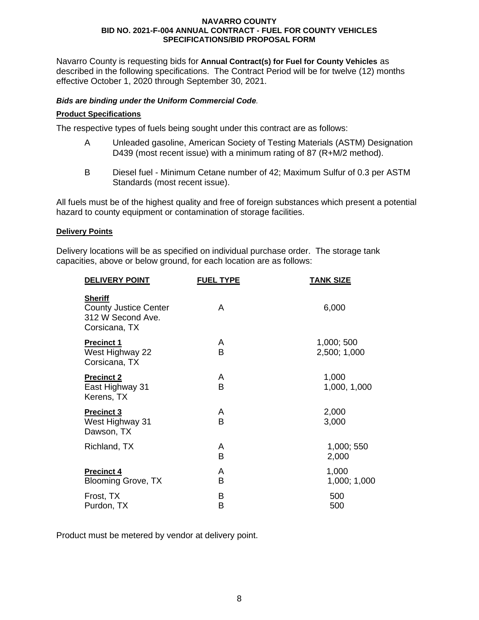Navarro County is requesting bids for **Annual Contract(s) for Fuel for County Vehicles** as described in the following specifications. The Contract Period will be for twelve (12) months effective October 1, 2020 through September 30, 2021.

## *Bids are binding under the Uniform Commercial Code.*

## **Product Specifications**

The respective types of fuels being sought under this contract are as follows:

- A Unleaded gasoline, American Society of Testing Materials (ASTM) Designation D439 (most recent issue) with a minimum rating of 87 (R+M/2 method).
- B Diesel fuel Minimum Cetane number of 42; Maximum Sulfur of 0.3 per ASTM Standards (most recent issue).

All fuels must be of the highest quality and free of foreign substances which present a potential hazard to county equipment or contamination of storage facilities.

### **Delivery Points**

Delivery locations will be as specified on individual purchase order. The storage tank capacities, above or below ground, for each location are as follows:

| <b>DELIVERY POINT</b>                                                                | <b>FUEL TYPE</b> | <u>TANK SIZE</u>           |
|--------------------------------------------------------------------------------------|------------------|----------------------------|
| <b>Sheriff</b><br><b>County Justice Center</b><br>312 W Second Ave.<br>Corsicana, TX | A                | 6,000                      |
| <b>Precinct 1</b><br>West Highway 22<br>Corsicana, TX                                | A<br>B           | 1,000; 500<br>2,500; 1,000 |
| <b>Precinct 2</b><br>East Highway 31<br>Kerens, TX                                   | A<br>В           | 1,000<br>1,000, 1,000      |
| <b>Precinct 3</b><br>West Highway 31<br>Dawson, TX                                   | A<br>В           | 2,000<br>3,000             |
| Richland, TX                                                                         | A<br>В           | 1,000; 550<br>2,000        |
| <b>Precinct 4</b><br><b>Blooming Grove, TX</b>                                       | A<br>В           | 1,000<br>1,000; 1,000      |
| Frost, TX<br>Purdon, TX                                                              | В<br>В           | 500<br>500                 |

Product must be metered by vendor at delivery point.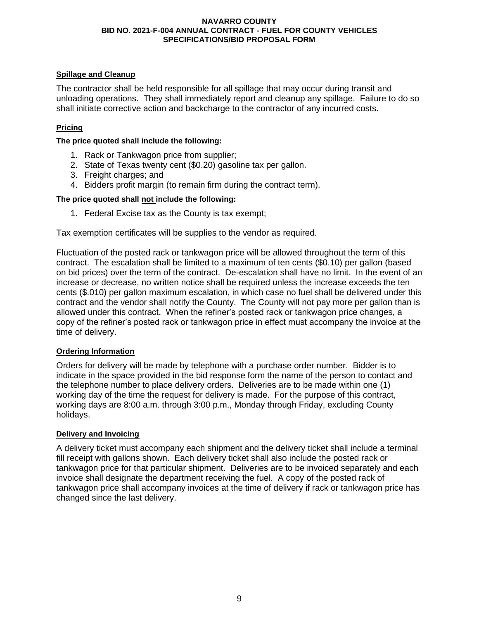## **Spillage and Cleanup**

The contractor shall be held responsible for all spillage that may occur during transit and unloading operations. They shall immediately report and cleanup any spillage. Failure to do so shall initiate corrective action and backcharge to the contractor of any incurred costs.

## **Pricing**

**The price quoted shall include the following:**

- 1. Rack or Tankwagon price from supplier;
- 2. State of Texas twenty cent (\$0.20) gasoline tax per gallon.
- 3. Freight charges; and
- 4. Bidders profit margin (to remain firm during the contract term).

## **The price quoted shall not include the following:**

1. Federal Excise tax as the County is tax exempt;

Tax exemption certificates will be supplies to the vendor as required.

Fluctuation of the posted rack or tankwagon price will be allowed throughout the term of this contract. The escalation shall be limited to a maximum of ten cents (\$0.10) per gallon (based on bid prices) over the term of the contract. De-escalation shall have no limit. In the event of an increase or decrease, no written notice shall be required unless the increase exceeds the ten cents (\$.010) per gallon maximum escalation, in which case no fuel shall be delivered under this contract and the vendor shall notify the County. The County will not pay more per gallon than is allowed under this contract. When the refiner's posted rack or tankwagon price changes, a copy of the refiner's posted rack or tankwagon price in effect must accompany the invoice at the time of delivery.

## **Ordering Information**

Orders for delivery will be made by telephone with a purchase order number. Bidder is to indicate in the space provided in the bid response form the name of the person to contact and the telephone number to place delivery orders. Deliveries are to be made within one (1) working day of the time the request for delivery is made. For the purpose of this contract, working days are 8:00 a.m. through 3:00 p.m., Monday through Friday, excluding County holidays.

#### **Delivery and Invoicing**

A delivery ticket must accompany each shipment and the delivery ticket shall include a terminal fill receipt with gallons shown. Each delivery ticket shall also include the posted rack or tankwagon price for that particular shipment. Deliveries are to be invoiced separately and each invoice shall designate the department receiving the fuel. A copy of the posted rack of tankwagon price shall accompany invoices at the time of delivery if rack or tankwagon price has changed since the last delivery.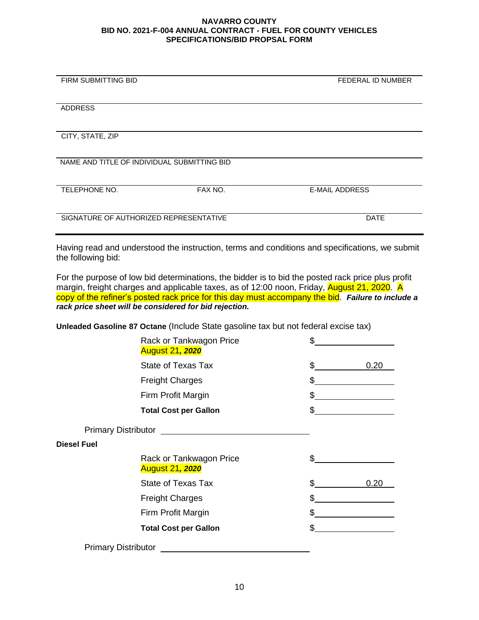| FIRM SUBMITTING BID                         |         | <b>FEDERAL ID NUMBER</b> |
|---------------------------------------------|---------|--------------------------|
| <b>ADDRESS</b>                              |         |                          |
| CITY, STATE, ZIP                            |         |                          |
| NAME AND TITLE OF INDIVIDUAL SUBMITTING BID |         |                          |
| TELEPHONE NO.                               | FAX NO. | <b>E-MAIL ADDRESS</b>    |
| SIGNATURE OF AUTHORIZED REPRESENTATIVE      |         | <b>DATE</b>              |

l,

Having read and understood the instruction, terms and conditions and specifications, we submit the following bid:

For the purpose of low bid determinations, the bidder is to bid the posted rack price plus profit margin, freight charges and applicable taxes, as of 12:00 noon, Friday, August 21, 2020. A copy of the refiner's posted rack price for this day must accompany the bid. *Failure to include a rack price sheet will be considered for bid rejection.*

**Unleaded Gasoline 87 Octane** (Include State gasoline tax but not federal excise tax)

|                    | Rack or Tankwagon Price<br><b>August 21, 2020</b> | \$  |      |
|--------------------|---------------------------------------------------|-----|------|
|                    | State of Texas Tax                                | \$  | 0.20 |
|                    | <b>Freight Charges</b>                            | \$  |      |
|                    | Firm Profit Margin                                | \$  |      |
|                    | <b>Total Cost per Gallon</b>                      | \$  |      |
|                    |                                                   |     |      |
| <b>Diesel Fuel</b> |                                                   |     |      |
|                    | Rack or Tankwagon Price<br><b>August 21, 2020</b> | \$  |      |
|                    | State of Texas Tax                                | \$. | 0.20 |
|                    | <b>Freight Charges</b>                            | \$  |      |
|                    | Firm Profit Margin                                | \$  |      |
|                    | <b>Total Cost per Gallon</b>                      | \$  |      |
|                    | <b>Primary Distributor</b>                        |     |      |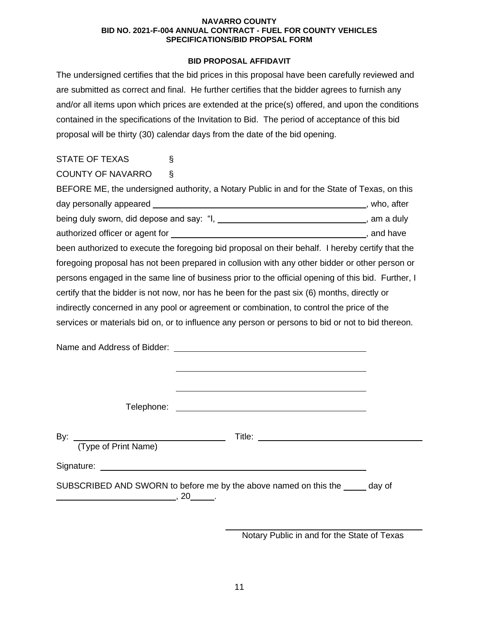## **BID PROPOSAL AFFIDAVIT**

The undersigned certifies that the bid prices in this proposal have been carefully reviewed and are submitted as correct and final. He further certifies that the bidder agrees to furnish any and/or all items upon which prices are extended at the price(s) offered, and upon the conditions contained in the specifications of the Invitation to Bid. The period of acceptance of this bid proposal will be thirty (30) calendar days from the date of the bid opening.

| <b>STATE OF TEXAS</b>    | S                                                                                                  |  |
|--------------------------|----------------------------------------------------------------------------------------------------|--|
| <b>COUNTY OF NAVARRO</b> | $\S$                                                                                               |  |
|                          | BEFORE ME, the undersigned authority, a Notary Public in and for the State of Texas, on this       |  |
|                          |                                                                                                    |  |
|                          | being duly sworn, did depose and say: "I, _________________________________, am a duly             |  |
|                          |                                                                                                    |  |
|                          | been authorized to execute the foregoing bid proposal on their behalf. I hereby certify that the   |  |
|                          | foregoing proposal has not been prepared in collusion with any other bidder or other person or     |  |
|                          | persons engaged in the same line of business prior to the official opening of this bid. Further, I |  |
|                          | certify that the bidder is not now, nor has he been for the past six (6) months, directly or       |  |
|                          | indirectly concerned in any pool or agreement or combination, to control the price of the          |  |
|                          | services or materials bid on, or to influence any person or persons to bid or not to bid thereon.  |  |
|                          |                                                                                                    |  |
|                          |                                                                                                    |  |
|                          |                                                                                                    |  |
|                          |                                                                                                    |  |
|                          |                                                                                                    |  |

 Telephone: By: Title: (Type of Print Name) Signature: experience of the state of the state of the state of the state of the state of the state of the state of the state of the state of the state of the state of the state of the state of the state of the state of th SUBSCRIBED AND SWORN to before me by the above named on this the wave of  $\overline{\phantom{a}}$ , 20  $\overline{\phantom{a}}$ .

Notary Public in and for the State of Texas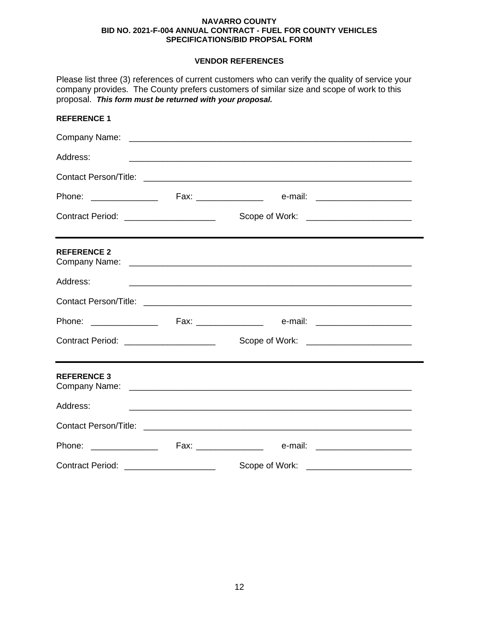## **VENDOR REFERENCES**

| proposal. This form must be returned with your proposal. |                                                      | Please list three (3) references of current customers who can verify the quality of service your<br>company provides. The County prefers customers of similar size and scope of work to this                                  |  |
|----------------------------------------------------------|------------------------------------------------------|-------------------------------------------------------------------------------------------------------------------------------------------------------------------------------------------------------------------------------|--|
| <b>REFERENCE 1</b>                                       |                                                      |                                                                                                                                                                                                                               |  |
|                                                          |                                                      |                                                                                                                                                                                                                               |  |
| Address:                                                 |                                                      |                                                                                                                                                                                                                               |  |
|                                                          |                                                      | Contact Person/Title: Letter and the contract of the contract of the contract of the contract of the contract of the contract of the contract of the contract of the contract of the contract of the contract of the contract |  |
|                                                          |                                                      | Phone: _________________  Fax: _________________  e-mail: ______________________                                                                                                                                              |  |
| Contract Period: _____________________                   |                                                      | Scope of Work: <u>______________________</u>                                                                                                                                                                                  |  |
| <b>REFERENCE 2</b>                                       |                                                      |                                                                                                                                                                                                                               |  |
| Address:                                                 |                                                      |                                                                                                                                                                                                                               |  |
|                                                          |                                                      |                                                                                                                                                                                                                               |  |
|                                                          |                                                      |                                                                                                                                                                                                                               |  |
| Contract Period: ________________________                |                                                      | Scope of Work: <u>_______________________</u>                                                                                                                                                                                 |  |
| <b>REFERENCE 3</b>                                       |                                                      |                                                                                                                                                                                                                               |  |
| Address:                                                 |                                                      | <u> 1989 - Johann Harry Harry Harry Harry Harry Harry Harry Harry Harry Harry Harry Harry Harry Harry Harry Harry</u>                                                                                                         |  |
|                                                          |                                                      |                                                                                                                                                                                                                               |  |
|                                                          |                                                      |                                                                                                                                                                                                                               |  |
| <b>Contract Period:</b>                                  | <u> 2000 - Jan Barnett, fransk politik (d. 1982)</u> | Scope of Work:                                                                                                                                                                                                                |  |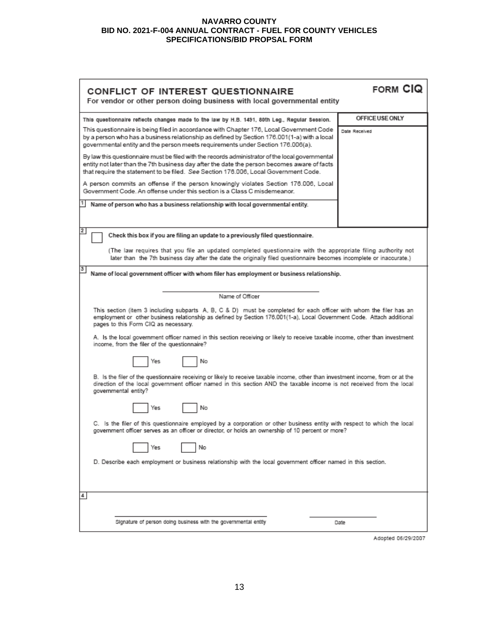| CONFLICT OF INTEREST QUESTIONNAIRE<br>For vendor or other person doing business with local governmental entity                                                                                                                                                                         | <b>FORM CIQ</b> |  |  |
|----------------------------------------------------------------------------------------------------------------------------------------------------------------------------------------------------------------------------------------------------------------------------------------|-----------------|--|--|
| This questionnaire reflects changes made to the law by H.B. 1491, 80th Leg., Regular Session.                                                                                                                                                                                          | OFFICE USE ONLY |  |  |
| This questionnaire is being filed in accordance with Chapter 176, Local Government Code<br>by a person who has a business relationship as defined by Section 176.001(1-a) with a local<br>governmental entity and the person meets requirements under Section 176.006(a).              | Date Received   |  |  |
| By law this questionnaire must be filed with the records administrator of the local governmental<br>entity not later than the 7th business day after the date the person becomes aware of facts<br>that require the statement to be filed. See Section 176.006, Local Government Code. |                 |  |  |
| A person commits an offense if the person knowingly violates Section 176.006, Local<br>Government Code. An offense under this section is a Class C misdemeanor.                                                                                                                        |                 |  |  |
| Name of person who has a business relationship with local governmental entity.                                                                                                                                                                                                         |                 |  |  |
| $\overline{2}$<br>Check this box if you are filing an update to a previously filed questionnaire.                                                                                                                                                                                      |                 |  |  |
| (The law requires that you file an updated completed questionnaire with the appropriate filing authority not<br>later than the 7th business day after the date the originally filed questionnaire becomes incomplete or inaccurate.)                                                   |                 |  |  |
| 3<br>Name of local government officer with whom filer has employment or business relationship.                                                                                                                                                                                         |                 |  |  |
| Name of Officer                                                                                                                                                                                                                                                                        |                 |  |  |
| This section (item 3 including subparts A, B, C & D) must be completed for each officer with whom the filer has an<br>employment or other business relationship as defined by Section 176.001(1-a), Local Government Code. Attach additional<br>pages to this Form CIQ as necessary.   |                 |  |  |
| A. Is the local government officer named in this section receiving or likely to receive taxable income, other than investment<br>income, from the filer of the questionnaire?                                                                                                          |                 |  |  |
| No<br>Yes                                                                                                                                                                                                                                                                              |                 |  |  |
| B. Is the filer of the questionnaire receiving or likely to receive taxable income, other than investment income, from or at the<br>direction of the local government officer named in this section AND the taxable income is not received from the local<br>governmental entity?      |                 |  |  |
| No<br>Yes                                                                                                                                                                                                                                                                              |                 |  |  |
| C. Is the filer of this questionnaire employed by a corporation or other business entity with respect to which the local<br>government officer serves as an officer or director, or holds an ownership of 10 percent or more?                                                          |                 |  |  |
| No<br>Yes                                                                                                                                                                                                                                                                              |                 |  |  |
| D. Describe each employment or business relationship with the local government officer named in this section.                                                                                                                                                                          |                 |  |  |
| 4                                                                                                                                                                                                                                                                                      |                 |  |  |
| Signature of person doing business with the governmental entity                                                                                                                                                                                                                        | Date            |  |  |

Adopted 06/29/2007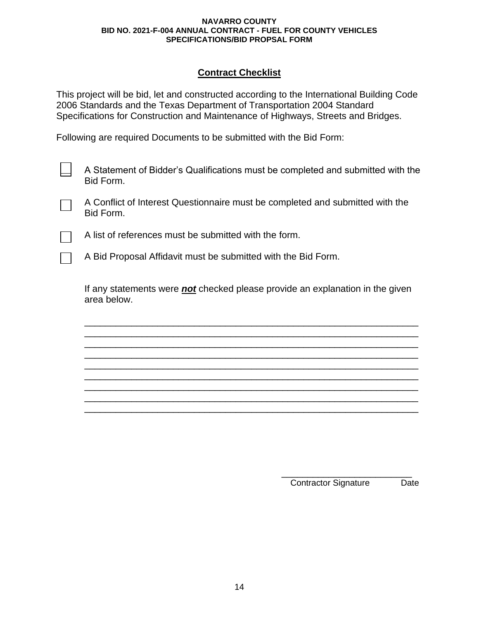## **Contract Checklist**

This project will be bid, let and constructed according to the International Building Code 2006 Standards and the Texas Department of Transportation 2004 Standard Specifications for Construction and Maintenance of Highways, Streets and Bridges.

Following are required Documents to be submitted with the Bid Form:

A Statement of Bidder's Qualifications must be completed and submitted with the Bid Form.

A Conflict of Interest Questionnaire must be completed and submitted with the Bid Form.

A list of references must be submitted with the form.

A Bid Proposal Affidavit must be submitted with the Bid Form.

If any statements were *not* checked please provide an explanation in the given area below.

\_\_\_\_\_\_\_\_\_\_\_\_\_\_\_\_\_\_\_\_\_\_\_\_\_\_\_\_\_\_\_\_\_\_\_\_\_\_\_\_\_\_\_\_\_\_\_\_\_\_\_\_\_\_\_\_\_\_\_\_\_\_\_\_ \_\_\_\_\_\_\_\_\_\_\_\_\_\_\_\_\_\_\_\_\_\_\_\_\_\_\_\_\_\_\_\_\_\_\_\_\_\_\_\_\_\_\_\_\_\_\_\_\_\_\_\_\_\_\_\_\_\_\_\_\_\_\_\_ \_\_\_\_\_\_\_\_\_\_\_\_\_\_\_\_\_\_\_\_\_\_\_\_\_\_\_\_\_\_\_\_\_\_\_\_\_\_\_\_\_\_\_\_\_\_\_\_\_\_\_\_\_\_\_\_\_\_\_\_\_\_\_\_ \_\_\_\_\_\_\_\_\_\_\_\_\_\_\_\_\_\_\_\_\_\_\_\_\_\_\_\_\_\_\_\_\_\_\_\_\_\_\_\_\_\_\_\_\_\_\_\_\_\_\_\_\_\_\_\_\_\_\_\_\_\_\_\_ \_\_\_\_\_\_\_\_\_\_\_\_\_\_\_\_\_\_\_\_\_\_\_\_\_\_\_\_\_\_\_\_\_\_\_\_\_\_\_\_\_\_\_\_\_\_\_\_\_\_\_\_\_\_\_\_\_\_\_\_\_\_\_\_ \_\_\_\_\_\_\_\_\_\_\_\_\_\_\_\_\_\_\_\_\_\_\_\_\_\_\_\_\_\_\_\_\_\_\_\_\_\_\_\_\_\_\_\_\_\_\_\_\_\_\_\_\_\_\_\_\_\_\_\_\_\_\_\_ \_\_\_\_\_\_\_\_\_\_\_\_\_\_\_\_\_\_\_\_\_\_\_\_\_\_\_\_\_\_\_\_\_\_\_\_\_\_\_\_\_\_\_\_\_\_\_\_\_\_\_\_\_\_\_\_\_\_\_\_\_\_\_\_ \_\_\_\_\_\_\_\_\_\_\_\_\_\_\_\_\_\_\_\_\_\_\_\_\_\_\_\_\_\_\_\_\_\_\_\_\_\_\_\_\_\_\_\_\_\_\_\_\_\_\_\_\_\_\_\_\_\_\_\_\_\_\_\_ \_\_\_\_\_\_\_\_\_\_\_\_\_\_\_\_\_\_\_\_\_\_\_\_\_\_\_\_\_\_\_\_\_\_\_\_\_\_\_\_\_\_\_\_\_\_\_\_\_\_\_\_\_\_\_\_\_\_\_\_\_\_\_\_

> \_\_\_\_\_\_\_\_\_\_\_\_\_\_\_\_\_\_\_\_\_\_\_\_\_ Contractor Signature Date